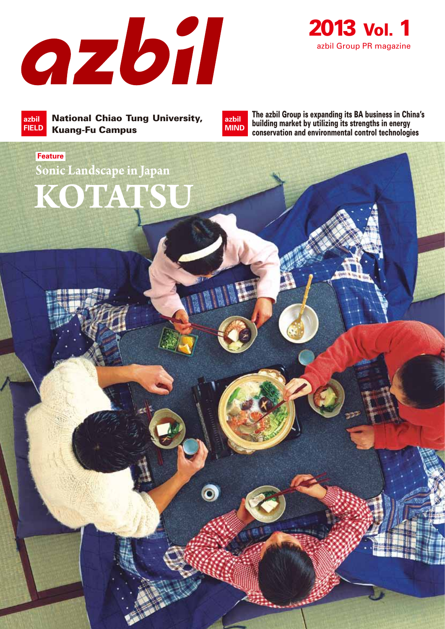



National Chiao Tung University, Kuang-Fu Campus **azbil FIELD**

**KOTATS** 

**Sonic Landscape in Japan**

**Feature**

**azbil MIND**

 $\overline{\mathbf{o}}$ 

The azbil Group is expanding its BA business in China's building market by utilizing its strengths in energy conservation and environmental control technologies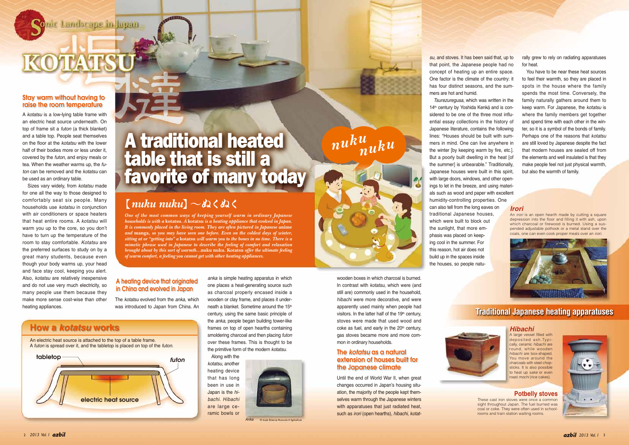nic Landscape in Japan

KOTATSU

*One of the most common ways of keeping yourself warm in ordinary Japanese households is with a* **kotatsu***. A* **kotatsu** *is a heating appliance that evolved in Japan. It is commonly placed in the living room. They are often pictured in Japanese* **anime** *and* **manga***, so you may have seen one before. Even on the coldest days of winter, sitting at or "getting into" a* **kotatsu** *will warm you to the bones in no time. There is a mimetic phrase used in Japanese to describe the feeling of comfort and relaxation brought about by this sort of warmth…***nuku nuku***.* **Kotatsu** *offer the ultimate feeling of warm comfort, a feeling you cannot get with other heating appliances.* 

> wooden boxes in which charcoal is burned. In contrast with *kotatsu*, which were (and still are) commonly used in the household, *hibachi* were more decorative, and were apparently used mainly when people had visitors. In the latter half of the  $19<sup>th</sup>$  century, stoves were made that used wood and coke as fuel, and early in the  $20<sup>th</sup>$  century, gas stoves became more and more common in ordinary households.

Until the end of World War II, when great changes occurred in Japan's housing situation, the majority of the people kept themselves warm through the Japanese winters with apparatuses that just radiated heat, such as *irori* (open hearths), *hibachi*, *kotat-*

*anka* is simple heating apparatus in which one places a heat-generating source such as charcoal properly encased inside a wooden or clay frame, and places it underneath a blanket. Sometime around the 15th century, using the same basic principle of the *anka*, people began building tower-like frames on top of open hearths containing smoldering charcoal and then placing *futon* over these frames. This is thought to be the primitive form of the modern *kotatsu.*

 Along with the *kotatsu*, another heating device that has long been in use in Japan is the *hibachi*. *Hibachi* are large ceramic bowls or



O heale Science Massam of Agrospha

The *kotatsu* evolved from the *anka*, which was introduced to Japan from China. An rally grew to rely on radiating apparatuses for heat

A *kotatsu* is a low-lying table frame with an electric heat source underneath. On top of frame sit a *futon* (a thick blanket) and a table top. People seat themselves on the floor at the *kotatsu* with the lower half of their bodies more or less under it, covered by the *futon*, and enjoy meals or tea. When the weather warms up, the *futon* can be removed and the *kotatsu* can be used as an ordinary table.

 Sizes vary widely, from *kotatsu* made for one all the way to those designed to comfortably seat six people. Many households use *kotatsu* in conjunction with air conditioners or space heaters that heat entire rooms. A *kotatsu* will warm you up to the core, so you don't have to turn up the temperature of the room to stay comfortable. *Kotatsu* are the preferred surfaces to study on by a great many students, because even though your body warms up, your head and face stay cool, keeping you alert. Also, *kotatsu* are relatively inexpensive and do not use very much electricity, so many people use them because they make more sense cost-wise than other heating appliances.

An electric heat source is attached to the top of a table frame. A *futon* is spread over it, and the tabletop is placed on top of the *futon*.

*su*, and stoves. It has been said that, up to that point, the Japanese people had no concept of heating up an entire space. One factor is the climate of the country: it has four distinct seasons, and the summers are hot and humid.

 *Tsurezuregusa*, which was written in the 14<sup>th</sup> century by Yoshida Kenko and is considered to be one of the three most influential essay collections in the history of Japanese literature, contains the following lines: "Houses should be built with summers in mind. One can live anywhere in the winter [by keeping warm by fire, etc.]. But a poorly built dwelling in the heat [of the summer] is unbearable." Traditionally, Japanese houses were built in this spirit, with large doors, windows, and other openings to let in the breeze, and using materials such as wood and paper with excellent humidity-controlling properties. One

can also tell from the long eaves on traditional Japanese houses, which were built to block out the sunlight, that more emphasis was placed on keeping cool in the summer. For this reason, hot air does not build up in the spaces inside the houses, so people natu-

 You have to be near these heat sources to feel their warmth, so they are placed in spots in the house where the family spends the most time. Conversely, the family naturally gathers around them to keep warm. For Japanese, the *kotatsu* is where the family members get together and spend time with each other in the winter, so it is a symbol of the bonds of family. Perhaps one of the reasons that *kotatsu* are still loved by Japanese despite the fact that modern houses are sealed off from the elements and well insulated is that they make people feel not just physical warmth, but also the warmth of family.

# A traditional heated table that is still a favorite of many today

### $[nuku \text{ nuku}] \sim \text{d} \lambda \zeta \text{d} \lambda \zeta$

### **Traditional Japanese heating apparatuses**



## *nuku nuku*



#### *Hibachi*

A large vessel filled with deposited ash.Typically, ceramic *hibachi* are round, while wooden *hibachi* are box-shaped. You move around the charcoals with steel chopsticks. It is also possible to heat up *sake* or even roast *mochi* (rice cakes).

#### *Irori*

An *irori* is an open hearth made by cutting a square depression into the floor and filling it with ash, upon which charcoal or firewood is burned. Using a suspended adjustable pothook or a metal stand over the coals, one can even cook proper meals over an *irori*.



#### **Potbelly stoves**

These cast iron stoves were once a common sight throughout Japan. The fuel burned was coal or coke. They were often used in schoolrooms and train station waiting rooms.



*Anka* 

### **How a** *kotatsu* **works**

#### The *kotatsu* as a natural extension of houses built for the Japanese climate

#### A heating device that originated in China and evolved in Japan



#### Stay warm without having to raise the room temperature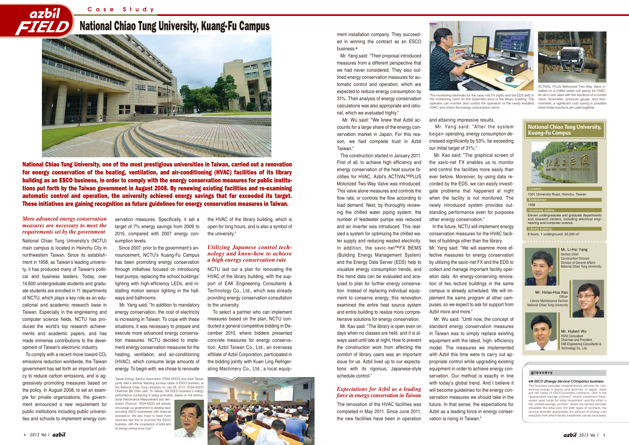## National Chiao Tung University, Kuang-Fu Campus

Case Study



National Chiao Tung University, one of the most prestigious universities in Taiwan, carried out a renovation for energy conservation of the heating, ventilation, and air-conditioning (HVAC) facilities of its library building as an ESCO business, in order to comply with the energy conservation measures for public institutions put forth by the Taiwan government in August 2008. By renewing existing facilities and re-examining automatic control and operation, the university achieved energy savings that far exceeded its target. These initiatives are gaining recognition as future guidelines for energy conservation measures in Taiwan.

ment installation company. They succeeded in winning the contract as an ESCO business.

 Mr. Yang said: "Their proposal introduced measures from a different perspective that we had never considered. They also outlined energy conservation measures for automatic control and operation, which are expected to reduce energy consumption by 31%. Their analysis of energy conservation calculations was also appropriate and rational, which we evaluated highly."

 Mr. Wu said: "We knew that Azbil accounts for a large share of the energy conservation market in Japan. For this reason, we had complete trust in Azbil Taiwan."

 The construction started in January 2011. First of all, to achieve high efficiency and energy conservation of the heat source facilities for HVAC, Azbil's ACTIVAL™PLUS Motorized Two-Way Valve was introduced. This valve alone measures and controls the flow rate, or controls the flow according to load demand. Next, by thoroughly reviewing the chilled water piping system, the number of feedwater pumps was reduced and an inverter was introduced. This realized a system for optimizing the chilled water supply and reducing wasted electricity. In addition, the savic-net™FX BEMS (Building Energy Management System) and the Energy Data Server (EDS) help to visualize energy consumption trends, and this trend data can be evaluated and analyzed to plan for further energy conservation. Instead of replacing individual equipment to conserve energy, this renovation examined the entire heat source system and entire building to realize more comprehensive solutions for energy conservation.

To comply with a recent move toward  $CO<sub>2</sub>$ emissions reduction worldwide, the Taiwan government has set forth an important policy to reduce carbon emissions, and is aggressively promoting measures based on the policy. In August 2008, to set an example for private organizations, the government announced a new requirement for public institutions including public universities and schools to implement energy con-

 Mr. Kao said: "The library is open even on days when no classes are held, and it is always used until late at night. How to prevent the construction work from affecting the comfort of library users was an important issue for us. Azbil lived up to our expectations with its rigorous, Japanese-style schedule control."

The renovation of the HVAC facilities was completed in May 2011. Since June 2011, the new facilities have been in operation and attaining impressive results.

began operating, energy consumption decreased significantly by 53%, far exceeding our initial target of 31%."

 Mr. Kao said: "The graphical screen of the savic-net FX enables us to monitor and control the facilities more easily than ever before. Moreover, by using data recorded by the EDS, we can easily investigate problems that happened at night when the facility is not monitored. The newly introduced system provides outstanding performance even for purposes other energy conservation."

 In the future, NCTU will implement energy conservation measures for the HVAC facilities of buildings other than the library. Mr. Yang said: "We will examine more effective measures for energy conservation by utilizing the savic-net FX and the EDS to collect and manage important facility operation data. An energy-conserving renovation of two lecture buildings in the same campus is already scheduled. We will implement the same program at other campuses, so we expect to ask for support from Azbil more and more."

 Mr. Wu said: "Until now, the concept of standard energy conservation measures in Taiwan was to simply replace existing equipment with the latest, high- efficiency model. The measures we implemented with Azbil this time were to carry out appropriate control while upgrading existing equipment in order to achieve energy conservation. Our method is exactly in line with today's global trend. And I believe it will become guidelines for the energy conservation measures we should take in the future. In that sense, the expectations for Azbil as a leading force in energy conservation is rising in Taiwan."



National Chiao Tung University's (NCTU) main campus is located in Hsinchu City in northwestern Taiwan. Since its establishment in 1958, as Taiwan's leading university, it has produced many of Taiwan's political and business leaders. Today, over 14,600 undergraduate students and graduate students are enrolled in 11 departments of NCTU, which plays a key role as an educational and academic research base in Taiwan. Especially in the engineering and computer science fields, NCTU has produced the world's top research achievements and academic papers, and has made immense contributions to the development of Taiwan's electronic industry.

servation measures. Specifically, it set a target of 7% energy savings from 2009 to 2015, compared with 2007 energy consumption levels.

 Since 2007, prior to the government's announcement, NCTU's Kuang-Fu Campus has been promoting energy conservation through initiatives focused on introducing heat pumps, replacing the school buildings' lighting with high-efficiency LEDs, and installing motion sensor lighting in the hallways and bathrooms.

 Mr. Yang said: "In addition to mandatory energy conservation, the cost of electricity is increasing in Taiwan. To cope with these situations, it was necessary to prepare and execute more advanced energy conservation measures. NCTU decided to implement energy conservation measures for the heating, ventilation, and air-conditioning (HVAC), which consume large amounts of energy. To begin with, we chose to renovate the HVAC of the library building, which is open for long hours, and is also a symbol of the university."

NCTU laid out a plan for renovating the HVAC of the library building, with the support of EAK Engineering Consultants & Technology Co., Ltd., which was already providing energy conservation consultation to the university.

 To select a partner who can implement measures based on the plan, NCTU conducted a general competitive bidding in December 2010, where bidders presented concrete measures for energy conservation. Azbil Taiwan Co., Ltd., an overseas affiliate of Azbil Corporation, participated in the bidding jointly with Kuen Ling Refrigerating Machinery Co., Ltd., a local equip-

#### *More advanced energy conservation measures are necessary to meet the requirements set by the government*

#### *Utilizing Japanese control technology and know-how to achieve a high energy conservation rate*

#### *Expectations for Azbil as a leading force in energy conservation in Taiwan*

Taiwan Energy Service Association (TESA-ESCO) and Azbil Taiwan jointly held a seminar featuring success cases of ESCO business, at the National Chiao Tung University on July 26, 2012. TESA-ESCO Chairman Bill Chen said: "In Taiwan, the ESCO business's energy performance contracting is being promoted, based on the Interna tional Performance Measurement and Ven-

fication Protocol. TESA-ESCO will actively encourage our government to develop law providing ESCO businesses with financial assistance. We also hope to have more seminars like this to promote the ESCO business, with the cooperation of Azbil and its energy-saving know how."



The monitoring terminals for the savic-net FX (right) and the EDS (left) in the monitoring room on the basement level of the library building. The operator can monitor and control the operation of the newly installed HVAC and check the energy consumption trend.

stalled on a chilled water coil piping for HVAC. An all-in-one valve with the functions of a control valve, flowmeter, pressure gauge, and thermometer, a significant cost saving is possible when these functions are used together.

Mr. Yang said: "After the system

serving energy in plants and factories. In Japan, there are two types of ESCO business contracts. One is the "guaranteed-savings contract" where customers them-selves raise funds for initial investment, and the other is the "shared-savings contract" where the service provider shoulders the initial cost. For both types of contracts, the service provider quarantees the amount of energy cost reduction from which facility investment can be recovered.

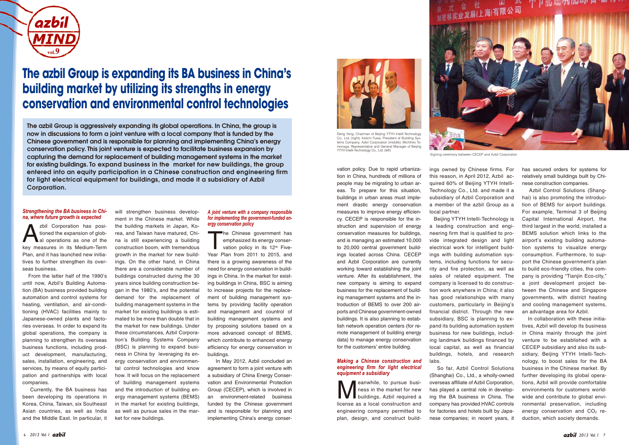has secured orders for systems for relatively small buildings built by Chinese construction companies.

 Azbil Control Solutions (Shanghai) is also promoting the introduction of BEMS for airport buildings. For example, Terminal 3 of Beijing Capital International Airport, the third largest in the world, installed a BEMS solution which links to the airport's existing building automation systems to visualize energy consumption. Furthermore, to support the Chinese government's plan to build eco-friendly cities, the company is providing "Tianiin Eco-city." a joint development project between the Chinese and Singapore governments, with district heating and cooling management systems, an advantage area for Azbil.

zbil Corporation has positioned the expansion of global operations as one of the key measures in its Medium-Term Plan, and it has launched new initiatives to further strengthen its overseas business.

> In collaboration with these initiatives, Azbil will develop its business in China mainly through the joint venture to be established with a CECEP subsidiary and also its subsidiary, Beijing YTYH Intelli-Technology, to boost sales for the BA business in the Chinese market. By further developing its global operations, Azbil will provide comfortable environments for customers worldwide and contribute to global environmental preservation, including energy conservation and  $CO<sub>2</sub>$  reduction, which society demands.

 From the latter half of the 1990's until now, Azbil's Building Automation (BA) business provided building automation and control systems for heating, ventilation, and air-conditioning (HVAC) facilities mainly to Japanese-owned plants and factories overseas. In order to expand its global operations, the company is planning to strengthen its overseas business functions, including product development, manufacturing, sales, installation, engineering, and services, by means of equity participation and partnerships with local companies.

The Chinese government has emphasized its energy conservation policy in its 12<sup>th</sup> Five-Year Plan from 2011 to 2015, and there is a growing awareness of the need for energy conservation in buildings in China. In the market for existing buildings in China, BSC is aiming to increase projects for the replacement of building management systems by providing facility operation and management and countrol of building management systems and by proposing solutions based on a more advanced concept of BEMS, which contribute to enhanced energy efficiency for energy conservation in buildings.

 Currently, the BA business has been developing its operations in Korea, China, Taiwan, six Southeast Asian countries, as well as India and the Middle East. In particular, it Meanwhile, to pursue busi-<br>
buildings, Azbil required a<br>
linence on a local construction and ness in the market for new

ment in the Chinese market. While the building markets in Japan, Korea, and Taiwan have matured, China is still experiencing a building construction boom, with tremendous growth in the market for new buildings. On the other hand, in China there are a considerable number of buildings constructed during the 30 years since building construction began in the 1980's, and the potential demand for the replacement of building management systems in the market for existing buildings is estimated to be more than double that in the market for new buildings. Under these circumstances, Azbil Corporation's Building Systems Company (BSC) is planning to expand business in China by leveraging its energy conservation and environmental control technologies and know how. It will focus on the replacement of building management systems and the introduction of building energy management systems (BEMS) in the market for existing buildings, as well as pursue sales in the mar-

ket for new buildings.



Deng Yong, Chairman of Beijing YTYH Intelli-Technology Co., Ltd. (right); Keiichi Fuwa, President of Building Systems Company, Azbil Corporation (middle); Michihiro Tomonaga, Representative and General Manager of Beijing YTYH Intelli-Technology Co., Ltd. (left)

 In May 2012, Azbil concluded an agreement to form a joint venture with a subsidiary of China Energy Conservation and Environmental Protection Group (CECEP), which is involved in an environment-related business funded by the Chinese government and is responsible for planning and implementing China's energy conservation policy. Due to rapid urbanization in China, hundreds of millions of people may be migrating to urban areas. To prepare for this situation, buildings in urban areas must implement drastic energy conservation measures to improve energy efficiency. CECEP is responsible for the instruction and supervision of energy conservation measures for buildings, and is managing an estimated 10,000 to 20,000 central government buildings located across China. CECEP and Azbil Corporation are currently working toward establishing the joint venture. After its establishment, the new company is aiming to expand business for the replacement of building management systems and the introduction of BEMS to over 200 airports and Chinese government-owned buildings. It is also planning to establish network operation centers (for remote management of building energy data) to manage energy conservation for the customers' entire building.

license as a local construction and engineering company permitted to plan, design, and construct build-

ings owned by Chinese firms. For this reason, in April 2012, Azbil acquired 60% of Beijing YTYH Intelli-Technology Co., Ltd. and made it a subsidiary of Azbil Corporation and a member of the azbil Group as a local partner.

 Beijing YTYH Intelli-Technology is a leading construction and engineering firm that is qualified to provide integrated design and light electrical work for intelligent buildings with building automation systems, including functions for security and fire protection, as well as sales of related equipment. The company is licensed to do construction work anywhere in China; it also has good relationships with many customers, particularly in Beijing's financial district. Through the new subsidiary, BSC is planning to expand its building automation system business for new buildings, including landmark buildings financed by local capital, as well as financial buildings, hotels, and research labs.

 So far, Azbil Control Solutions (Shanghai) Co., Ltd., a wholly-owned overseas affiliate of Azbil Corporation, has played a central role in developing the BA business in China. The company has provided HVAC controls for factories and hotels built by Japanese companies; in recent years, it

*Making a Chinese construction and engineering firm for light electrical* 

*equipment a subsidiary*

#### *A joint venture with a company responsible for implementing the government-funded energy conservation policy*

#### *Strengthening the BA business in China, where future growth is expected*



## **The azbil Group is expanding its BA business in China's building market by utilizing its strengths in energy conservation and environmental control technologies**

The azbil Group is aggressively expanding its global operations. In China, the group is now in discussions to form a joint venture with a local company that is funded by the Chinese government and is responsible for planning and implementing China's energy conservation policy. This joint venture is expected to facilitate business expansion by capturing the demand for replacement of building management systems in the market for existing buildings. To expand business in the market for new buildings, the group entered into an equity participation in a Chinese construction and engineering firm for light electrical equipment for buildings, and made it a subsidiary of Azbil Corporation.

will strengthen business develop-



Signing ceremony between CECEP and Azbil Corporation